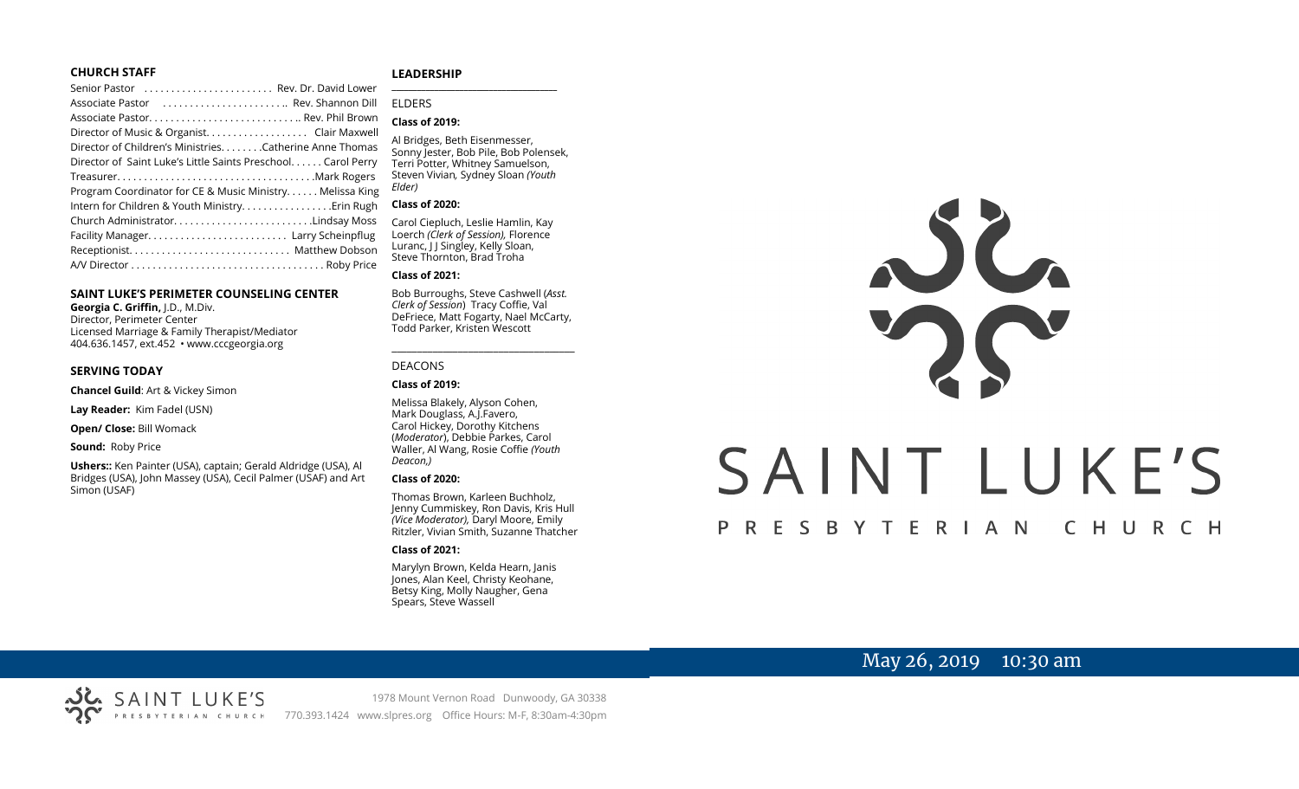#### **CHURCH STAFF**

| Senior Pastor  Rev. Dr. David Lower                          |
|--------------------------------------------------------------|
| Associate Pastor  Rev. Shannon Dill                          |
|                                                              |
| Director of Music & Organist. Clair Maxwell                  |
| Director of Children's Ministries. Catherine Anne Thomas     |
| Director of Saint Luke's Little Saints Preschool Carol Perry |
|                                                              |
| Program Coordinator for CE & Music Ministry Melissa King     |
| Intern for Children & Youth Ministry. Erin Rugh              |
| Church AdministratorLindsay Moss                             |
|                                                              |
|                                                              |
|                                                              |
|                                                              |

#### **SAINT LUKE'S PERIMETER COUNSELING CENTER**

**Georgia C. Griffin,** J.D., M.Div. Director, Perimeter Center Licensed Marriage & Family Therapist/Mediator 404.636.1457, ext.452 • www.cccgeorgia.org

#### **SERVING TODAY**

**Chancel Guild**: Art & Vickey Simon

**Lay Reader:** Kim Fadel (USN)

**Open/ Close:** Bill Womack

**Sound:** Roby Price

**Ushers::** Ken Painter (USA), captain; Gerald Aldridge (USA), Al Bridges (USA), John Massey (USA), Cecil Palmer (USAF) and Art Simon (USAF)

#### **LEADERSHIP** **\_\_\_\_\_\_\_\_\_\_\_\_\_\_\_\_\_\_\_\_\_\_\_\_\_\_\_\_\_\_\_\_\_\_\_\_\_\_\_**

#### ELDERS

#### **Class of 2019:**

Al Bridges, Beth Eisenmesser, Sonny Jester, Bob Pile, Bob Polensek, Terri Potter, Whitney Samuelson, Steven Vivian*,* Sydney Sloan *(Youth Elder)*

#### **Class of 2020:**

Carol Ciepluch, Leslie Hamlin, Kay Loerch *(Clerk of Session),* Florence Luranc, I J Singley, Kelly Sloan, Steve Thornton, Brad Troha

#### **Class of 2021:**

Bob Burroughs, Steve Cashwell (*Asst. Clerk of Session*) Tracy Coffie, Val DeFriece, Matt Fogarty, Nael McCarty, Todd Parker, Kristen Wescott

\_\_\_\_\_\_\_\_\_\_\_\_\_\_\_\_\_\_\_\_\_\_\_\_\_\_\_\_\_\_\_\_\_\_\_\_

#### DEACONS

#### **Class of 2019:**

Melissa Blakely, Alyson Cohen, Mark Douglass, A.J.Favero, Carol Hickey, Dorothy Kitchens (*Moderator*), Debbie Parkes, Carol Waller, Al Wang, Rosie Coffie *(Youth Deacon,)* 

#### **Class of 2020:**

Thomas Brown, Karleen Buchholz, Jenny Cummiskey, Ron Davis, Kris Hull *(Vice Moderator),* Daryl Moore, Emily Ritzler, Vivian Smith, Suzanne Thatcher

#### **Class of 2021:**

Marylyn Brown, Kelda Hearn, Janis Jones, Alan Keel, Christy Keohane, Betsy King, Molly Naugher, Gena Spears, Steve Wassell

# NG SAINT LUKE'S P R E S B Y T E R I A N CHURCH

# May 26, 2019 10:30 am

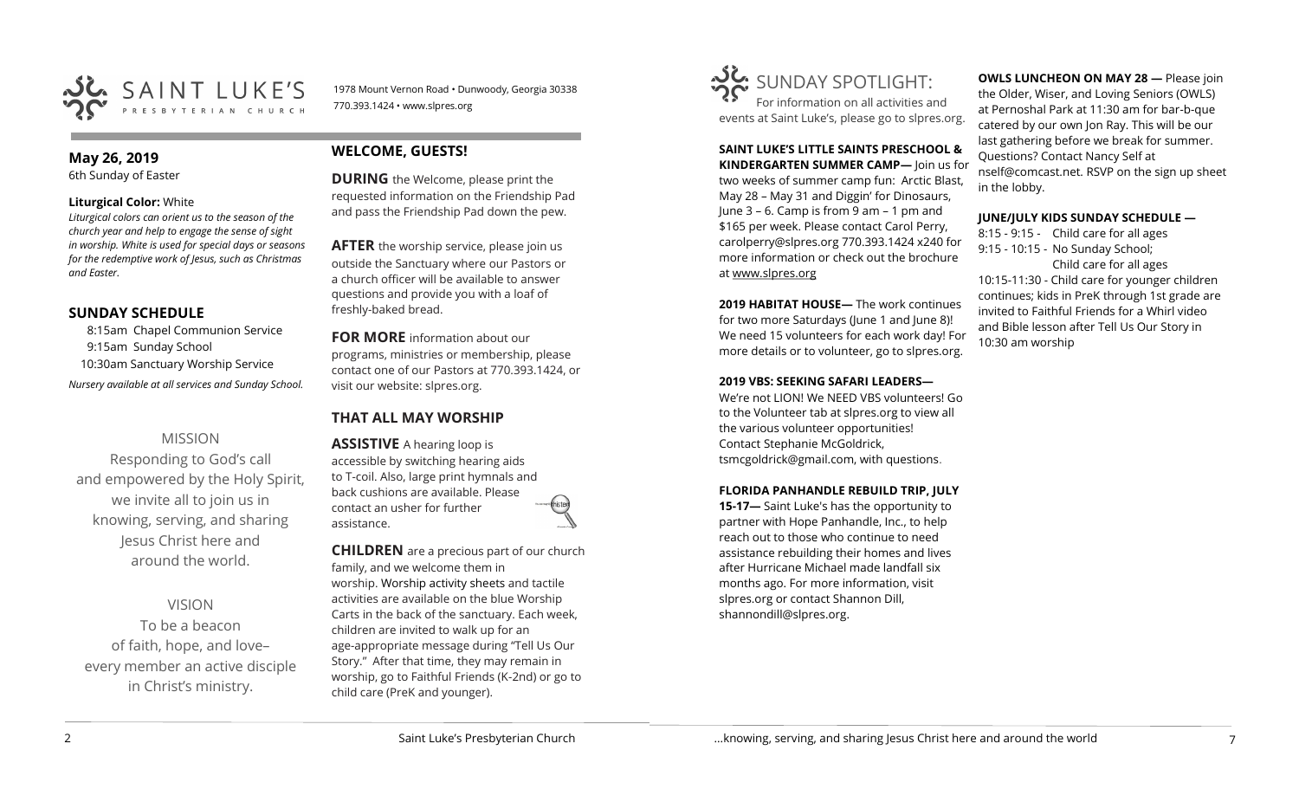

1978 Mount Vernon Road • Dunwoody, Georgia 30338 770.393.1424 • www.slpres.org

# **May 26, 2019**

6th Sunday of Easter

#### **Liturgical Color:** White

*Liturgical colors can orient us to the season of the church year and help to engage the sense of sight in worship. White is used for special days or seasons for the redemptive work of Jesus, such as Christmas and Easter.*

# **SUNDAY SCHEDULE**

8:15am Chapel Communion Service 9:15am Sunday School 10:30am Sanctuary Worship Service *Nursery available at all services and Sunday School.* 

# MISSION

Responding to God's call and empowered by the Holy Spirit, we invite all to join us in knowing, serving, and sharing Jesus Christ here and around the world.

VISION

To be a beacon of faith, hope, and love– every member an active disciple in Christ's ministry.

# **WELCOME, GUESTS!**

**DURING** the Welcome, please print the requested information on the Friendship Pad and pass the Friendship Pad down the pew.

**AFTER** the worship service, please join us outside the Sanctuary where our Pastors or a church officer will be available to answer questions and provide you with a loaf of freshly-baked bread.

**FOR MORE** information about our programs, ministries or membership, please contact one of our Pastors at 770.393.1424, or visit our website: slpres.org.

# **THAT ALL MAY WORSHIP**

**ASSISTIVE** A hearing loop is accessible by switching hearing aids to T-coil. Also, large print hymnals and back cushions are available. Please contact an usher for further assistance.

**CHILDREN** are a precious part of our church family, and we welcome them in worship. Worship activity sheets and tactile activities are available on the blue Worship Carts in the back of the sanctuary. Each week, children are invited to walk up for an age-appropriate message during "Tell Us Our Story." After that time, they may remain in worship, go to Faithful Friends (K-2nd) or go to child care (PreK and younger).



#### **SAINT LUKE'S LITTLE SAINTS PRESCHOOL & KINDERGARTEN SUMMER CAMP—** Join us for

two weeks of summer camp fun: Arctic Blast, May 28 – May 31 and Diggin' for Dinosaurs, June 3 – 6. Camp is from 9 am – 1 pm and \$165 per week. Please contact Carol Perry, [carolperry@slpres.org](mailto:carolperry@slpres.org) 770.393.1424 x240 for more information or check out the brochure at [www.slpres.org](http://www.slpres.org)

**2019 HABITAT HOUSE—** The work continues for two more Saturdays (June 1 and June 8)! We need 15 volunteers for each work day! For more details or to volunteer, go to slpres.org.

#### **2019 VBS: SEEKING SAFARI LEADERS—**

We're not LION! We NEED VBS volunteers! Go to the Volunteer tab at slpres.org to view all the various volunteer opportunities! Contact Stephanie McGoldrick, tsmcgoldrick@gmail.com, with questions.

#### **FLORIDA PANHANDLE REBUILD TRIP, JULY**

**15-17—** Saint Luke's has the opportunity to partner with Hope Panhandle, Inc., to help reach out to those who continue to need assistance rebuilding their homes and lives after Hurricane Michael made landfall six months ago. For more information, visit slpres.org or contact Shannon Dill, shannondill@slpres.org.

**OWLS LUNCHEON ON MAY 28 —** Please join the Older, Wiser, and Loving Seniors (OWLS) at Pernoshal Park at 11:30 am for bar-b-que catered by our own Jon Ray. This will be our last gathering before we break for summer. Questions? Contact Nancy Self at nself@comcast.net. RSVP on the sign up sheet in the lobby.

#### **JUNE/JULY KIDS SUNDAY SCHEDULE —**

8:15 - 9:15 - Child care for all ages 9:15 - 10:15 - No Sunday School; Child care for all ages 10:15-11:30 - Child care for younger children continues; kids in PreK through 1st grade are invited to Faithful Friends for a Whirl video and Bible lesson after Tell Us Our Story in 10:30 am worship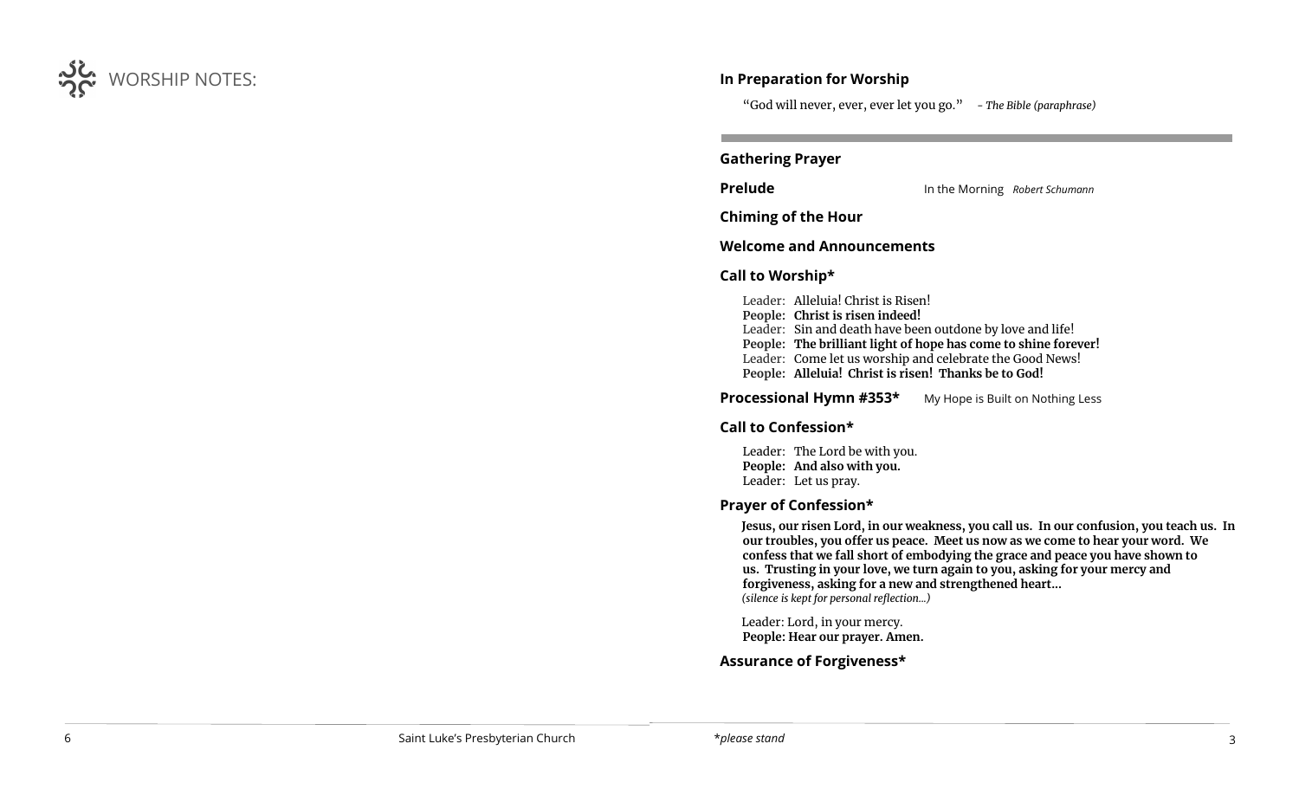

# **In Preparation for Worship**

"God will never, ever, ever let you go." *- The Bible (paraphrase)*

## **Gathering Prayer**

**Prelude** In the Morning *Robert Schumann*

**Chiming of the Hour**

## **Welcome and Announcements**

# **Call to Worship\***

Leader: Alleluia! Christ is Risen!

- **People: Christ is risen indeed!**
- Leader: Sin and death have been outdone by love and life!
- **People: The brilliant light of hope has come to shine forever!**
- Leader: Come let us worship and celebrate the Good News!
- **People: Alleluia! Christ is risen! Thanks be to God!**

**Processional Hymn #353\*** My Hope is Built on Nothing Less

# **Call to Confession\***

Leader: The Lord be with you. **People: And also with you.**  Leader: Let us pray.

#### **Prayer of Confession\***

**Jesus, our risen Lord, in our weakness, you call us. In our confusion, you teach us. In our troubles, you offer us peace. Meet us now as we come to hear your word. We confess that we fall short of embodying the grace and peace you have shown to us. Trusting in your love, we turn again to you, asking for your mercy and forgiveness, asking for a new and strengthened heart...** *(silence is kept for personal reflection...)*

Leader: Lord, in your mercy. **People: Hear our prayer. Amen.**

# **Assurance of Forgiveness\***